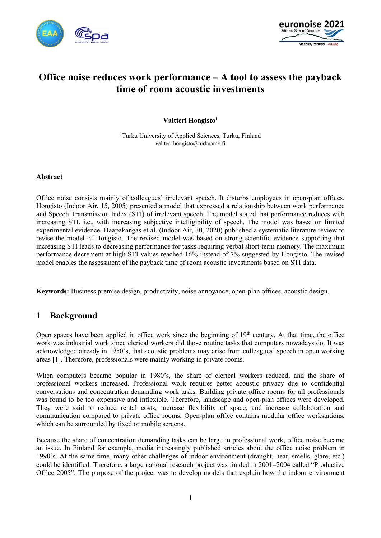



# Office noise reduces work performance – A tool to assess the payback time of room acoustic investments

#### Valtteri Hongisto<sup>1</sup>

<sup>1</sup>Turku University of Applied Sciences, Turku, Finland valtteri.hongisto@turkuamk.fi

#### Abstract

Office noise consists mainly of colleagues' irrelevant speech. It disturbs employees in open-plan offices. Hongisto (Indoor Air, 15, 2005) presented a model that expressed a relationship between work performance and Speech Transmission Index (STI) of irrelevant speech. The model stated that performance reduces with increasing STI, i.e., with increasing subjective intelligibility of speech. The model was based on limited experimental evidence. Haapakangas et al. (Indoor Air, 30, 2020) published a systematic literature review to revise the model of Hongisto. The revised model was based on strong scientific evidence supporting that increasing STI leads to decreasing performance for tasks requiring verbal short-term memory. The maximum performance decrement at high STI values reached 16% instead of 7% suggested by Hongisto. The revised model enables the assessment of the payback time of room acoustic investments based on STI data.

Keywords: Business premise design, productivity, noise annoyance, open-plan offices, acoustic design.

### 1 Background

Open spaces have been applied in office work since the beginning of  $19<sup>th</sup>$  century. At that time, the office work was industrial work since clerical workers did those routine tasks that computers nowadays do. It was acknowledged already in 1950's, that acoustic problems may arise from colleagues' speech in open working areas [1]. Therefore, professionals were mainly working in private rooms.

When computers became popular in 1980's, the share of clerical workers reduced, and the share of professional workers increased. Professional work requires better acoustic privacy due to confidential conversations and concentration demanding work tasks. Building private office rooms for all professionals was found to be too expensive and inflexible. Therefore, landscape and open-plan offices were developed. They were said to reduce rental costs, increase flexibility of space, and increase collaboration and communication compared to private office rooms. Open-plan office contains modular office workstations, which can be surrounded by fixed or mobile screens.

Because the share of concentration demanding tasks can be large in professional work, office noise became an issue. In Finland for example, media increasingly published articles about the office noise problem in 1990's. At the same time, many other challenges of indoor environment (draught, heat, smells, glare, etc.) could be identified. Therefore, a large national research project was funded in 2001–2004 called "Productive Office 2005". The purpose of the project was to develop models that explain how the indoor environment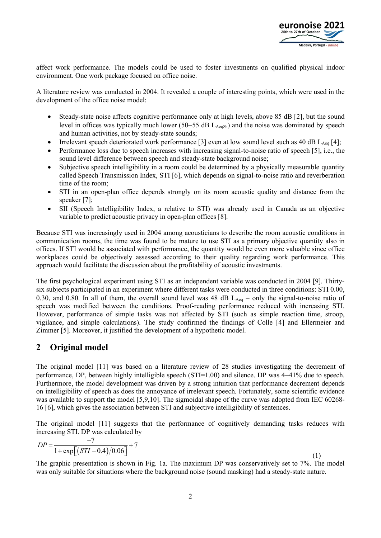

affect work performance. The models could be used to foster investments on qualified physical indoor environment. One work package focused on office noise.

A literature review was conducted in 2004. It revealed a couple of interesting points, which were used in the development of the office noise model:

- Steady-state noise affects cognitive performance only at high levels, above 85 dB [2], but the sound level in offices was typically much lower (50–55 dB  $L_{\text{Aea8h}}$ ) and the noise was dominated by speech and human activities, not by steady-state sounds;
- Irrelevant speech deteriorated work performance [3] even at low sound level such as 40 dB  $L_{Aeq}$  [4];
- Performance loss due to speech increases with increasing signal-to-noise ratio of speech [5], i.e., the sound level difference between speech and steady-state background noise;
- Subjective speech intelligibility in a room could be determined by a physically measurable quantity called Speech Transmission Index, STI [6], which depends on signal-to-noise ratio and reverberation time of the room;
- STI in an open-plan office depends strongly on its room acoustic quality and distance from the speaker [7];
- SII (Speech Intelligibility Index, a relative to STI) was already used in Canada as an objective variable to predict acoustic privacy in open-plan offices [8].

Because STI was increasingly used in 2004 among acousticians to describe the room acoustic conditions in communication rooms, the time was found to be mature to use STI as a primary objective quantity also in offices. If STI would be associated with performance, the quantity would be even more valuable since office workplaces could be objectively assessed according to their quality regarding work performance. This approach would facilitate the discussion about the profitability of acoustic investments.

The first psychological experiment using STI as an independent variable was conducted in 2004 [9]. Thirtysix subjects participated in an experiment where different tasks were conducted in three conditions: STI 0.00, 0.30, and 0.80. In all of them, the overall sound level was 48 dB  $L_{Aeq}$  – only the signal-to-noise ratio of speech was modified between the conditions. Proof-reading performance reduced with increasing STI. However, performance of simple tasks was not affected by STI (such as simple reaction time, stroop, vigilance, and simple calculations). The study confirmed the findings of Colle [4] and Ellermeier and Zimmer [5]. Moreover, it justified the development of a hypothetic model. boughar experiment using 3 r as an interpendent variance was conducted in zower<br>tricipated in an experiment where different tasks were conducted in three conditions,<br>b. In all of them, the overall sound level was 48 dB L<sub></sub>

## 2 Original model

The original model [11] was based on a literature review of 28 studies investigating the decrement of performance, DP, between highly intelligible speech (STI=1.00) and silence. DP was 441% due to speech. Furthermore, the model development was driven by a strong intuition that performance decrement depends on intelligibility of speech as does the annoyance of irrelevant speech. Fortunately, some scientific evidence was available to support the model [5,9,10]. The sigmoidal shape of the curve was adopted from IEC 60268-16 [6], which gives the association between STI and subjective intelligibility of sentences.

The original model [11] suggests that the performance of cognitively demanding tasks reduces with increasing STI. DP was calculated by

$$
DP = \frac{-7}{1 + \exp[(STI - 0.4)/0.06]} + 7
$$
\n(1)

The graphic presentation is shown in Fig. 1a. The maximum DP was conservatively set to 7%. The model was only suitable for situations where the background noise (sound masking) had a steady-state nature.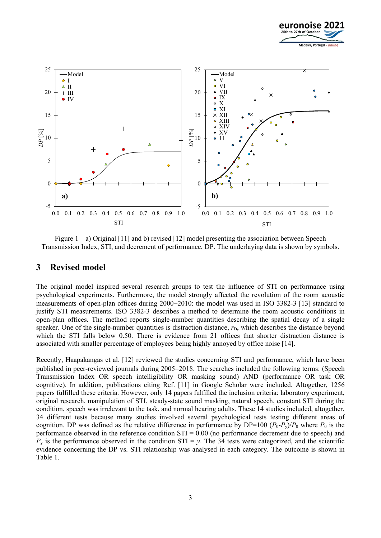



Figure  $1 - a$ ) Original [11] and b) revised [12] model presenting the association between Speech Transmission Index, STI, and decrement of performance, DP. The underlaying data is shown by symbols.

#### 3 Revised model

The original model inspired several research groups to test the influence of STI on performance using psychological experiments. Furthermore, the model strongly affected the revolution of the room acoustic measurements of open-plan offices during 2000–2010: the model was used in ISO 3382-3 [13] standard to justify STI measurements. ISO 3382-3 describes a method to determine the room acoustic conditions in open-plan offices. The method reports single-number quantities describing the spatial decay of a single speaker. One of the single-number quantities is distraction distance,  $r<sub>D</sub>$ , which describes the distance beyond which the STI falls below 0.50. There is evidence from 21 offices that shorter distraction distance is associated with smaller percentage of employees being highly annoyed by office noise [14].

Recently, Haapakangas et al. [12] reviewed the studies concerning STI and performance, which have been published in peer-reviewed journals during 2005–2018. The searches included the following terms: (Speech Transmission Index OR speech intelligibility OR masking sound) AND (performance OR task OR cognitive). In addition, publications citing Ref. [11] in Google Scholar were included. Altogether, 1256 papers fulfilled these criteria. However, only 14 papers fulfilled the inclusion criteria: laboratory experiment, original research, manipulation of STI, steady-state sound masking, natural speech, constant STI during the condition, speech was irrelevant to the task, and normal hearing adults. These 14 studies included, altogether, 34 different tests because many studies involved several psychological tests testing different areas of cognition. DP was defined as the relative difference in performance by DP=100  $(P_0-P_v)/P_0$  where  $P_0$  is the performance observed in the reference condition STI = 0.00 (no performance decrement due to speech) and  $P_y$  is the performance observed in the condition STI = y. The 34 tests were categorized, and the scientific evidence concerning the DP vs. STI relationship was analysed in each category. The outcome is shown in Table 1.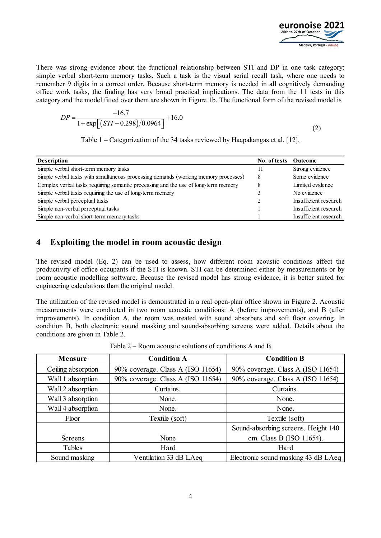

There was strong evidence about the functional relationship between STI and DP in one task category: simple verbal short-term memory tasks. Such a task is the visual serial recall task, where one needs to remember 9 digits in a correct order. Because short-term memory is needed in all cognitively demanding office work tasks, the finding has very broad practical implications. The data from the 11 tests in this category and the model fitted over them are shown in Figure 1b. The functional form of the revised model is **EUTO HOISE 2021**<br> **EUTO HOISE 2021**<br> **EUTO HOISE 2021**<br> **EUTO HOISE 2021**<br> **EUTO HOISE 2021**<br> **EUTO HOISE 2021**<br> **EUTO HOISE 2021**<br> **EUTO HOISE 2021**<br> **EUTO HOISE 2021**<br> **EUTO HOISE 2021**<br> **EUTO HOISE 2021**<br> **EUTO HOISE** 

$$
DP = \frac{-16.7}{1 + \exp\left[\frac{(STI - 0.298)}{0.0964}\right]} + 16.0\tag{2}
$$

|                                                                                                                                                                                                                                                                                                                                                                                                                                                                                                                                                      |              | euronoise 2021<br>25th to 27th of Octobe<br>Madeira, Portugal - onlin |
|------------------------------------------------------------------------------------------------------------------------------------------------------------------------------------------------------------------------------------------------------------------------------------------------------------------------------------------------------------------------------------------------------------------------------------------------------------------------------------------------------------------------------------------------------|--------------|-----------------------------------------------------------------------|
| There was strong evidence about the functional relationship between STI and DP in one task category:<br>simple verbal short-term memory tasks. Such a task is the visual serial recall task, where one needs to<br>remember 9 digits in a correct order. Because short-term memory is needed in all cognitively demanding<br>office work tasks, the finding has very broad practical implications. The data from the 11 tests in this<br>category and the model fitted over them are shown in Figure 1b. The functional form of the revised model is |              |                                                                       |
|                                                                                                                                                                                                                                                                                                                                                                                                                                                                                                                                                      |              |                                                                       |
| $DP = \frac{-16.7}{1 + \exp[(STI - 0.298)/0.0964]} + 16.0$                                                                                                                                                                                                                                                                                                                                                                                                                                                                                           |              | (2)                                                                   |
| Table 1 – Categorization of the 34 tasks reviewed by Haapakangas et al. [12].                                                                                                                                                                                                                                                                                                                                                                                                                                                                        |              |                                                                       |
| <b>Description</b>                                                                                                                                                                                                                                                                                                                                                                                                                                                                                                                                   | No. of tests | Outcome                                                               |
| Simple verbal short-term memory tasks                                                                                                                                                                                                                                                                                                                                                                                                                                                                                                                | 11           | Strong evidence                                                       |
| Simple verbal tasks with simultaneous processing demands (working memory processes)                                                                                                                                                                                                                                                                                                                                                                                                                                                                  | 8            | Some evidence                                                         |
| Complex verbal tasks requiring semantic processing and the use of long-term memory                                                                                                                                                                                                                                                                                                                                                                                                                                                                   | 8            | Limited evidence                                                      |
| Simple verbal tasks requiring the use of long-term memory                                                                                                                                                                                                                                                                                                                                                                                                                                                                                            | 3<br>2       | No evidence<br>Insufficient research                                  |
| Simple verbal perceptual tasks<br>Simple non-verbal perceptual tasks                                                                                                                                                                                                                                                                                                                                                                                                                                                                                 |              | Insufficient research                                                 |

### 4 Exploiting the model in room acoustic design

| $\frac{1}{2}$ surple verbal tasks requiring the use of long-term memory |                                                                                                                                                                                                                                                                                                                            |                |                                                |
|-------------------------------------------------------------------------|----------------------------------------------------------------------------------------------------------------------------------------------------------------------------------------------------------------------------------------------------------------------------------------------------------------------------|----------------|------------------------------------------------|
| Simple verbal perceptual tasks                                          |                                                                                                                                                                                                                                                                                                                            | $\overline{2}$ | Insufficient research                          |
| Simple non-verbal perceptual tasks                                      |                                                                                                                                                                                                                                                                                                                            |                | Insufficient research                          |
| Simple non-verbal short-term memory tasks                               |                                                                                                                                                                                                                                                                                                                            |                | Insufficient research                          |
| 4                                                                       | Exploiting the model in room acoustic design                                                                                                                                                                                                                                                                               |                |                                                |
| engineering calculations than the original model.                       | The revised model (Eq. 2) can be used to assess, how different room acoustic conditions affect the<br>productivity of office occupants if the STI is known. STI can be determined either by measurements or by<br>room acoustic modelling software. Because the revised model has strong evidence, it is better suited for |                |                                                |
|                                                                         | The utilization of the revised model is demonstrated in a real open-plan office shown in Figure 2. Acoustic<br>measurements were conducted in two room acoustic conditions: A (before improvements), and B (after                                                                                                          |                |                                                |
| conditions are given in Table 2.                                        | improvements). In condition A, the room was treated with sound absorbers and soft floor covering. In<br>condition B, both electronic sound masking and sound-absorbing screens were added. Details about the                                                                                                               |                |                                                |
|                                                                         | Table $2 -$ Room acoustic solutions of conditions A and B                                                                                                                                                                                                                                                                  |                |                                                |
| Measure                                                                 | <b>Condition A</b>                                                                                                                                                                                                                                                                                                         |                | <b>Condition B</b>                             |
| Ceiling absorption                                                      | 90% coverage. Class A (ISO 11654)                                                                                                                                                                                                                                                                                          |                | 90% coverage. Class A (ISO 11654)              |
| Wall 1 absorption                                                       | 90% coverage. Class A (ISO 11654)                                                                                                                                                                                                                                                                                          |                | 90% coverage. Class A (ISO 11654)<br>Curtains. |
| Wall 2 absorption<br>Wall 3 absorption                                  | Curtains.<br>None.                                                                                                                                                                                                                                                                                                         |                | None.                                          |
| Wall 4 absorption                                                       | None.                                                                                                                                                                                                                                                                                                                      |                | None.                                          |
| Floor                                                                   | Textile (soft)                                                                                                                                                                                                                                                                                                             |                | Textile (soft)                                 |
|                                                                         |                                                                                                                                                                                                                                                                                                                            |                | Sound-absorbing screens. Height 140            |
| Screens                                                                 | None                                                                                                                                                                                                                                                                                                                       |                | cm. Class B (ISO 11654).                       |
| Tables                                                                  | Hard                                                                                                                                                                                                                                                                                                                       |                | Hard                                           |

Table 2 – Room acoustic solutions of conditions A and B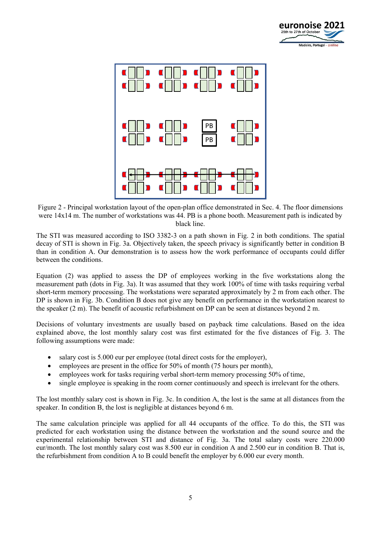



Figure 2 - Principal workstation layout of the open-plan office demonstrated in Sec. 4. The floor dimensions were 14x14 m. The number of workstations was 44. PB is a phone booth. Measurement path is indicated by black line.

The STI was measured according to ISO 3382-3 on a path shown in Fig. 2 in both conditions. The spatial decay of STI is shown in Fig. 3a. Objectively taken, the speech privacy is significantly better in condition B than in condition A. Our demonstration is to assess how the work performance of occupants could differ between the conditions.

Equation (2) was applied to assess the DP of employees working in the five workstations along the measurement path (dots in Fig. 3a). It was assumed that they work 100% of time with tasks requiring verbal short-term memory processing. The workstations were separated approximately by 2 m from each other. The DP is shown in Fig. 3b. Condition B does not give any benefit on performance in the workstation nearest to the speaker (2 m). The benefit of acoustic refurbishment on DP can be seen at distances beyond 2 m.

Decisions of voluntary investments are usually based on payback time calculations. Based on the idea explained above, the lost monthly salary cost was first estimated for the five distances of Fig. 3. The following assumptions were made:

- salary cost is 5.000 eur per employee (total direct costs for the employer),
- employees are present in the office for 50% of month (75 hours per month),
- employees work for tasks requiring verbal short-term memory processing 50% of time,
- single employee is speaking in the room corner continuously and speech is irrelevant for the others.

The lost monthly salary cost is shown in Fig. 3c. In condition A, the lost is the same at all distances from the speaker. In condition B, the lost is negligible at distances beyond 6 m.

The same calculation principle was applied for all 44 occupants of the office. To do this, the STI was predicted for each workstation using the distance between the workstation and the sound source and the experimental relationship between STI and distance of Fig. 3a. The total salary costs were 220.000 eur/month. The lost monthly salary cost was 8.500 eur in condition A and 2.500 eur in condition B. That is, the refurbishment from condition A to B could benefit the employer by 6.000 eur every month.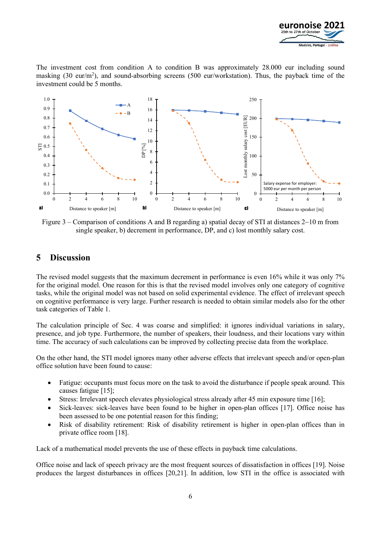

The investment cost from condition A to condition B was approximately 28.000 eur including sound masking (30 eur/m<sup>2</sup>), and sound-absorbing screens (500 eur/workstation). Thus, the payback time of the investment could be 5 months.



Figure 3 – Comparison of conditions A and B regarding a) spatial decay of STI at distances  $2-10$  m from single speaker, b) decrement in performance, DP, and c) lost monthly salary cost.

#### 5 Discussion

The revised model suggests that the maximum decrement in performance is even 16% while it was only 7% for the original model. One reason for this is that the revised model involves only one category of cognitive tasks, while the original model was not based on solid experimental evidence. The effect of irrelevant speech on cognitive performance is very large. Further research is needed to obtain similar models also for the other task categories of Table 1.

The calculation principle of Sec. 4 was coarse and simplified: it ignores individual variations in salary, presence, and job type. Furthermore, the number of speakers, their loudness, and their locations vary within time. The accuracy of such calculations can be improved by collecting precise data from the workplace.

On the other hand, the STI model ignores many other adverse effects that irrelevant speech and/or open-plan office solution have been found to cause:

- Fatigue: occupants must focus more on the task to avoid the disturbance if people speak around. This causes fatigue [15];
- Stress: Irrelevant speech elevates physiological stress already after 45 min exposure time [16];
- Sick-leaves: sick-leaves have been found to be higher in open-plan offices [17]. Office noise has been assessed to be one potential reason for this finding;
- Risk of disability retirement: Risk of disability retirement is higher in open-plan offices than in private office room [18].

Lack of a mathematical model prevents the use of these effects in payback time calculations.

Office noise and lack of speech privacy are the most frequent sources of dissatisfaction in offices [19]. Noise produces the largest disturbances in offices [20,21]. In addition, low STI in the office is associated with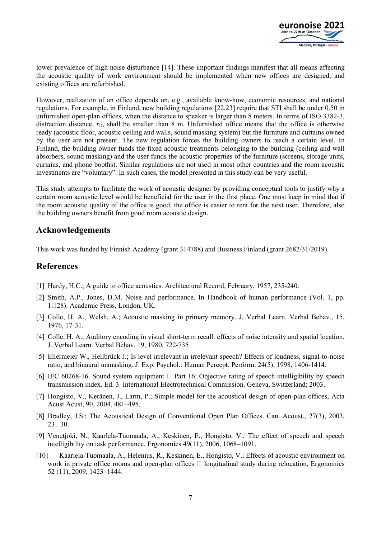

lower prevalence of high noise disturbance [14]. These important findings manifest that all means affecting the acoustic quality of work environment should be implemented when new offices are designed, and existing offices are refurbished.

However, realization of an office depends on, e.g., available know-how, economic resources, and national regulations. For example, in Finland, new building regulations [22,23] require that STI shall be under 0.50 in unfurnished open-plan offices, when the distance to speaker is larger than 8 meters. In terms of ISO 3382-3, distraction distance,  $r<sub>D</sub>$ , shall be smaller than 8 m. Unfurnished office means that the office is otherwise ready (acoustic floor, acoustic ceiling and walls, sound masking system) but the furniture and curtains owned by the user are not present. The new regulation forces the building owners to reach a certain level. In Finland, the building owner funds the fixed acoustic treatments belonging to the building (ceiling and wall absorbers, sound masking) and the user funds the acoustic properties of the furniture (screens, storage units, curtains, and phone booths). Similar regulations are not used in most other countries and the room acoustic investments are "voluntary". In such cases, the model presented in this study can be very useful.

This study attempts to facilitate the work of acoustic designer by providing conceptual tools to justify why a certain room acoustic level would be beneficial for the user in the first place. One must keep in mind that if the room acoustic quality of the office is good, the office is easier to rent for the next user. Therefore, also the building owners benefit from good room acoustic design.

#### Acknowledgements

This work was funded by Finnish Academy (grant 314788) and Business Finland (grant 2682/31/2019).

### References

- [1] Hardy, H.C.; A guide to office acoustics. Architectural Record, February, 1957, 235-240.
- [2] Smith, A.P., Jones, D.M. Noise and performance. In Handbook of human performance (Vol. 1, pp. 128). Academic Press, London, UK.
- [3] Colle, H. A., Welsh, A.; Acoustic masking in primary memory. J. Verbal Learn. Verbal Behav., 15, 1976, 17-31.
- [4] Colle, H. A.; Auditory encoding in visual short-term recall: effects of noise intensity and spatial location. J. Verbal Learn. Verbal Behav. 19, 1980, 722-735
- [5] Ellermeier W., Hellbrück J.; Is level irrelevant in irrelevant speech? Effects of loudness, signal-to-noise ratio, and binaural unmasking. J. Exp. Psychol.: Human Percept. Perform. 24(5), 1998, 1406-1414.
- [6] IEC 60268-16. Sound system equipment  $\Box$  Part 16: Objective rating of speech intelligibility by speech transmission index. Ed. 3. International Electrotechnical Commission. Geneva, Switzerland; 2003.
- [7] Hongisto, V., Keränen, J., Larm, P.; Simple model for the acoustical design of open-plan offices, Acta Acust Acust, 90, 2004, 481–495.
- [8] Bradley, J.S.; The Acoustical Design of Conventional Open Plan Offices. Can. Acoust., 27(3), 2003,  $23 \square 30$ .
- [9] Venetjoki, N., Kaarlela-Tuomaala, A., Keskinen, E., Hongisto, V.; The effect of speech and speech intelligibility on task performance, Ergonomics 49(11), 2006, 1068–1091.
- [10] Kaarlela-Tuomaala, A., Helenius, R., Keskinen, E., Hongisto, V.; Effects of acoustic environment on work in private office rooms and open-plan offices  $\Box$  longitudinal study during relocation, Ergonomics 52 (11), 2009, 1423–1444.